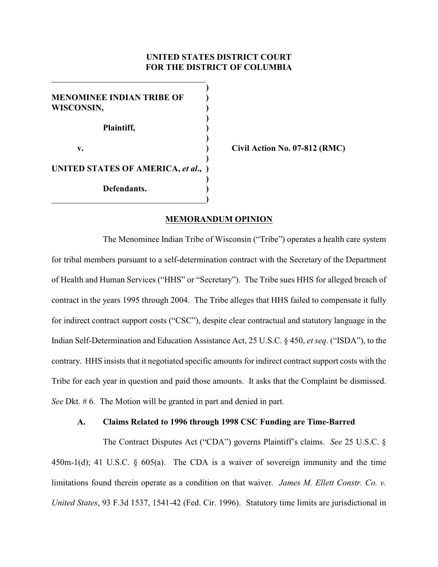# **UNITED STATES DISTRICT COURT FOR THE DISTRICT OF COLUMBIA**

**) MENOMINEE INDIAN TRIBE OF WISCONSIN, ) ) ) Plaintiff, ) ) v. ) Civil Action No. 07-812 (RMC) ) UNITED STATES OF AMERICA,** *et al***., ) ) Defendants. ) )**

#### **MEMORANDUM OPINION**

The Menominee Indian Tribe of Wisconsin ("Tribe") operates a health care system for tribal members pursuant to a self-determination contract with the Secretary of the Department of Health and Human Services ("HHS" or "Secretary"). The Tribe sues HHS for alleged breach of contract in the years 1995 through 2004. The Tribe alleges that HHS failed to compensate it fully for indirect contract support costs ("CSC"), despite clear contractual and statutory language in the Indian Self-Determination and Education Assistance Act, 25 U.S.C. § 450, *et seq*. ("ISDA"), to the contrary. HHS insists that it negotiated specific amounts for indirect contract support costs with the Tribe for each year in question and paid those amounts. It asks that the Complaint be dismissed. *See* Dkt. # 6. The Motion will be granted in part and denied in part.

### **A. Claims Related to 1996 through 1998 CSC Funding are Time-Barred**

The Contract Disputes Act ("CDA") governs Plaintiff's claims. *See* 25 U.S.C. § 450m-1(d); 41 U.S.C. § 605(a). The CDA is a waiver of sovereign immunity and the time limitations found therein operate as a condition on that waiver. *James M. Ellett Constr. Co. v. United States*, 93 F.3d 1537, 1541-42 (Fed. Cir. 1996). Statutory time limits are jurisdictional in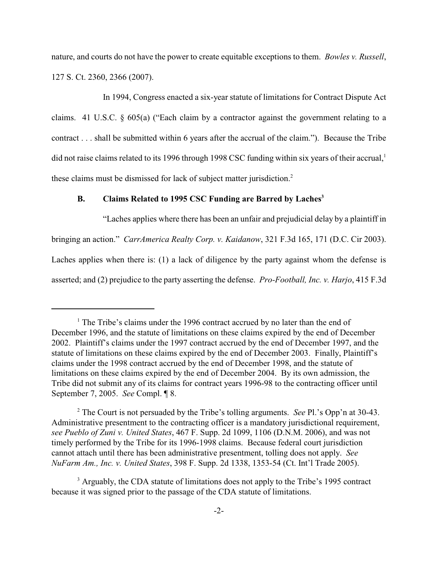nature, and courts do not have the power to create equitable exceptions to them. *Bowles v. Russell*, 127 S. Ct. 2360, 2366 (2007).

In 1994, Congress enacted a six-year statute of limitations for Contract Dispute Act claims. 41 U.S.C. § 605(a) ("Each claim by a contractor against the government relating to a contract . . . shall be submitted within 6 years after the accrual of the claim."). Because the Tribe did not raise claims related to its 1996 through 1998 CSC funding within six years of their accrual,<sup>1</sup> these claims must be dismissed for lack of subject matter jurisdiction.<sup>2</sup>

# **B. Claims Related to 1995 CSC Funding are Barred by Laches<sup>3</sup>**

"Laches applies where there has been an unfair and prejudicial delay by a plaintiff in bringing an action." *CarrAmerica Realty Corp. v. Kaidanow*, 321 F.3d 165, 171 (D.C. Cir 2003). Laches applies when there is: (1) a lack of diligence by the party against whom the defense is asserted; and (2) prejudice to the party asserting the defense. *Pro-Football, Inc. v. Harjo*, 415 F.3d

 $<sup>1</sup>$  The Tribe's claims under the 1996 contract accrued by no later than the end of</sup> December 1996, and the statute of limitations on these claims expired by the end of December 2002. Plaintiff's claims under the 1997 contract accrued by the end of December 1997, and the statute of limitations on these claims expired by the end of December 2003. Finally, Plaintiff's claims under the 1998 contract accrued by the end of December 1998, and the statute of limitations on these claims expired by the end of December 2004. By its own admission, the Tribe did not submit any of its claims for contract years 1996-98 to the contracting officer until September 7, 2005. *See* Compl. ¶ 8.

The Court is not persuaded by the Tribe's tolling arguments. *See* Pl.'s Opp'n at 30-43. <sup>2</sup> Administrative presentment to the contracting officer is a mandatory jurisdictional requirement, *see Pueblo of Zuni v. United States*, 467 F. Supp. 2d 1099, 1106 (D.N.M. 2006), and was not timely performed by the Tribe for its 1996-1998 claims. Because federal court jurisdiction cannot attach until there has been administrative presentment, tolling does not apply. *See NuFarm Am., Inc. v. United States*, 398 F. Supp. 2d 1338, 1353-54 (Ct. Int'l Trade 2005).

<sup>&</sup>lt;sup>3</sup> Arguably, the CDA statute of limitations does not apply to the Tribe's 1995 contract because it was signed prior to the passage of the CDA statute of limitations.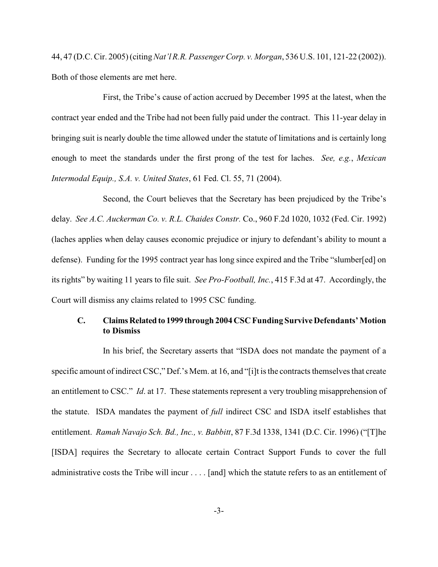44, 47 (D.C. Cir. 2005) (citing *Nat'l R.R. Passenger Corp. v. Morgan*, 536 U.S. 101, 121-22 (2002)). Both of those elements are met here.

First, the Tribe's cause of action accrued by December 1995 at the latest, when the contract year ended and the Tribe had not been fully paid under the contract. This 11-year delay in bringing suit is nearly double the time allowed under the statute of limitations and is certainly long enough to meet the standards under the first prong of the test for laches. *See, e.g.*, *Mexican Intermodal Equip., S.A. v. United States*, 61 Fed. Cl. 55, 71 (2004).

Second, the Court believes that the Secretary has been prejudiced by the Tribe's delay. *See A.C. Auckerman Co. v. R.L. Chaides Constr.* Co., 960 F.2d 1020, 1032 (Fed. Cir. 1992) (laches applies when delay causes economic prejudice or injury to defendant's ability to mount a defense). Funding for the 1995 contract year has long since expired and the Tribe "slumber[ed] on its rights" by waiting 11 years to file suit. *See Pro-Football, Inc.*, 415 F.3d at 47. Accordingly, the Court will dismiss any claims related to 1995 CSC funding.

# **C. Claims Related to 1999 through 2004 CSC Funding Survive Defendants' Motion to Dismiss**

In his brief, the Secretary asserts that "ISDA does not mandate the payment of a specific amount of indirect CSC," Def.'s Mem. at 16, and "[i]t is the contracts themselves that create an entitlement to CSC." *Id*. at 17. These statements represent a very troubling misapprehension of the statute. ISDA mandates the payment of *full* indirect CSC and ISDA itself establishes that entitlement. *Ramah Navajo Sch. Bd., Inc., v. Babbitt*, 87 F.3d 1338, 1341 (D.C. Cir. 1996) ("[T]he [ISDA] requires the Secretary to allocate certain Contract Support Funds to cover the full administrative costs the Tribe will incur . . . . [and] which the statute refers to as an entitlement of